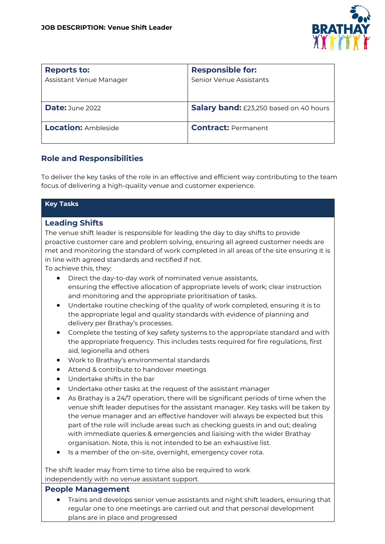

| <b>Reports to:</b><br>Assistant Venue Manager | <b>Responsible for:</b><br>Senior Venue Assistants |
|-----------------------------------------------|----------------------------------------------------|
| Date: June 2022                               | Salary band: £23,250 based on 40 hours             |
| <b>Location: Ambleside</b>                    | <b>Contract: Permanent</b>                         |

## **Role and Responsibilities**

To deliver the key tasks of the role in an effective and efficient way contributing to the team focus of delivering a high-quality venue and customer experience.

| <b>Key Tasks</b>                                                                          |
|-------------------------------------------------------------------------------------------|
| <b>Leading Shifts</b>                                                                     |
| The venue shift leader is responsible for leading the day to day shifts to provide        |
| proactive customer care and problem solving, ensuring all agreed customer needs are       |
| met and monitoring the standard of work completed in all areas of the site ensuring it is |
| in line with agreed standards and rectified if not.                                       |
| To achieve this, they:                                                                    |
| Direct the day-to-day work of nominated venue assistants,<br>$\bullet$                    |
| ensuring the effective allocation of appropriate levels of work; clear instruction        |
| and monitoring and the appropriate prioritisation of tasks.                               |

- Undertake routine checking of the quality of work completed, ensuring it is to the appropriate legal and quality standards with evidence of planning and delivery per Brathay's processes.
- Complete the testing of key safety systems to the appropriate standard and with the appropriate frequency. This includes tests required for fire regulations, first aid, legionella and others
- Work to Brathay's environmental standards
- Attend & contribute to handover meetings
- Undertake shifts in the bar
- Undertake other tasks at the request of the assistant manager
- As Brathay is a 24/7 operation, there will be significant periods of time when the venue shift leader deputises for the assistant manager. Key tasks will be taken by the venue manager and an effective handover will always be expected but this part of the role will include areas such as checking guests in and out; dealing with immediate queries & emergencies and liaising with the wider Brathay organisation. Note, this is not intended to be an exhaustive list.
- Is a member of the on-site, overnight, emergency cover rota.

The shift leader may from time to time also be required to work independently with no venue assistant support.

#### **People Management**

• Trains and develops senior venue assistants and night shift leaders, ensuring that regular one to one meetings are carried out and that personal development plans are in place and progressed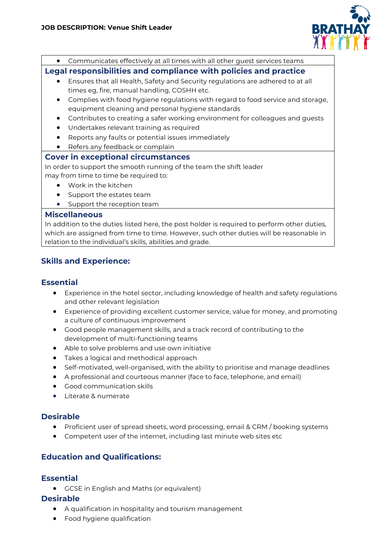

• Communicates effectively at all times with all other guest services teams

## **Legal responsibilities and compliance with policies and practice**

- Ensures that all Health, Safety and Security regulations are adhered to at all times eg, fire, manual handling, COSHH etc.
- Complies with food hygiene regulations with regard to food service and storage, equipment cleaning and personal hygiene standards
- Contributes to creating a safer working environment for colleagues and guests
- Undertakes relevant training as required
- Reports any faults or potential issues immediately
- Refers any feedback or complain

#### **Cover in exceptional circumstances**

In order to support the smooth running of the team the shift leader may from time to time be required to:

- Work in the kitchen
- Support the estates team
- Support the reception team

#### **Miscellaneous**

In addition to the duties listed here, the post holder is required to perform other duties, which are assigned from time to time. However, such other duties will be reasonable in relation to the individual's skills, abilities and grade.

# **Skills and Experience:**

## **Essential**

- Experience in the hotel sector, including knowledge of health and safety regulations and other relevant legislation
- Experience of providing excellent customer service, value for money, and promoting a culture of continuous improvement
- Good people management skills, and a track record of contributing to the development of multi-functioning teams
- Able to solve problems and use own initiative
- Takes a logical and methodical approach
- Self-motivated, well-organised, with the ability to prioritise and manage deadlines
- A professional and courteous manner (face to face, telephone, and email)
- Good communication skills
- Literate & numerate

## **Desirable**

- Proficient user of spread sheets, word processing, email & CRM / booking systems
- Competent user of the internet, including last minute web sites etc

## **Education and Qualifications:**

#### **Essential**

• GCSE in English and Maths (or equivalent)

#### **Desirable**

- A qualification in hospitality and tourism management
- Food hygiene qualification